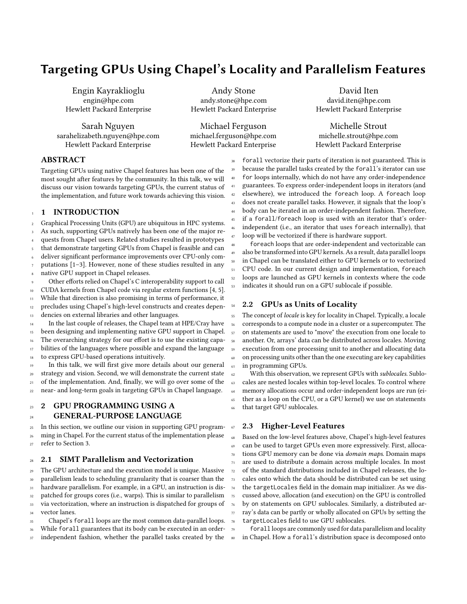# Targeting GPUs Using Chapel's Locality and Parallelism Features

Engin Kayraklioglu engin@hpe.com Hewlett Packard Enterprise

Sarah Nguyen sarahelizabeth.nguyen@hpe.com Hewlett Packard Enterprise

Andy Stone andy.stone@hpe.com Hewlett Packard Enterprise

Michael Ferguson michael.ferguson@hpe.com Hewlett Packard Enterprise

David Iten david.iten@hpe.com Hewlett Packard Enterprise

Michelle Strout michelle.strout@hpe.com Hewlett Packard Enterprise

### ABSTRACT

Targeting GPUs using native Chapel features has been one of the most sought after features by the community. In this talk, we will discuss our vision towards targeting GPUs, the current status of the implementation, and future work towards achieving this vision.

#### <sup>1</sup> 1 INTRODUCTION

<sup>2</sup> Graphical Processing Units (GPU) are ubiquitous in HPC systems. As such, supporting GPUs natively has been one of the major re-<sup>4</sup> quests from Chapel users. Related studies resulted in prototypes

that demonstrate targeting GPUs from Chapel is feasible and can

deliver significant performance improvements over CPU-only com-putations [\[1](#page-2-0)-3]. However, none of these studies resulted in any

native GPU support in Chapel releases. Other efforts relied on Chapel's C interoperability support to call

<sup>10</sup> CUDA kernels from Chapel code via regular extern functions [\[4,](#page-2-2) [5\]](#page-2-3).

<sup>11</sup> While that direction is also promising in terms of performance, it

12 precludes using Chapel's high-level constructs and creates depen-13 dencies on external libraries and other languages.

In the last couple of releases, the Chapel team at HPE/Cray have <sup>15</sup> been designing and implementing native GPU support in Chapel. <sup>16</sup> The overarching strategy for our effort is to use the existing capa-<sup>17</sup> bilities of the languages where possible and expand the language <sup>18</sup> to express GPU-based operations intuitively.

In this talk, we will first give more details about our general strategy and vision. Second, we will demonstrate the current state <sup>21</sup> of the implementation. And, finally, we will go over some of the <sup>22</sup> near- and long-term goals in targeting GPUs in Chapel language.

# 23 2 GPU PROGRAMMING USING A 24 GENERAL-PURPOSE LANGUAGE

<sup>25</sup> In this section, we outline our vision in supporting GPU program-<sup>26</sup> ming in Chapel. For the current status of the implementation please <sup>27</sup> refer to Section [3.](#page-1-0)

## <sup>28</sup> 2.1 SIMT Parallelism and Vectorization

 The GPU architecture and the execution model is unique. Massive parallelism leads to scheduling granularity that is coarser than the hardware parallelism. For example, in a GPU, an instruction is dis- patched for groups cores (i.e., warps). This is similar to parallelism via vectorization, where an instruction is dispatched for groups of vector lanes. Chapel's forall loops are the most common data-parallel loops.

<sup>36</sup> While forall guarantees that its body can be executed in an order-

37 independent fashion, whether the parallel tasks created by the

 forall vectorize their parts of iteration is not guaranteed. This is because the parallel tasks created by the forall's iterator can use for loops internally, which do not have any order-independence guarantees. To express order-independent loops in iterators (and elsewhere), we introduced the foreach loop. A foreach loop does not create parallel tasks. However, it signals that the loop's body can be iterated in an order-independent fashion. Therefore, if a forall/foreach loop is used with an iterator that's orderindependent (i.e., an iterator that uses foreach internally), that loop will be vectorized if there is hardware support.

foreach loops that are order-independent and vectorizable can also be transformed into GPU kernels. As a result, data parallel loops in Chapel can be translated either to GPU kernels or to vectorized <sup>51</sup> CPU code. In our current design and implementation, foreach <sup>52</sup> loops are launched as GPU kernels in contexts where the code <sup>53</sup> indicates it should run on a GPU sublocale if possible.

#### 54 2.2 GPUs as Units of Locality

55 The concept of locale is key for locality in Chapel. Typically, a locale corresponds to a compute node in a cluster or a supercomputer. The on statements are used to "move" the execution from one locale to another. Or, arrays' data can be distributed across locales. Moving execution from one processing unit to another and allocating data on processing units other than the one executing are key capabilities in programming GPUs.

 With this observation, we represent GPUs with sublocales. Sublo- cales are nested locales within top-level locales. To control where memory allocations occur and order-independent loops are run (ei- ther as a loop on the CPU, or a GPU kernel) we use on statements that target GPU sublocales.

#### <span id="page-0-0"></span><sup>67</sup> 2.3 Higher-Level Features

 Based on the low-level features above, Chapel's high-level features can be used to target GPUs even more expressively. First, alloca- tions GPU memory can be done via domain maps. Domain maps are used to distribute a domain across multiple locales. In most of the standard distributions included in Chapel releases, the locales onto which the data should be distributed can be set using the targetLocales field in the domain map initializer. As we dis- cussed above, allocation (and execution) on the GPU is controlled by on statements on GPU sublocales. Similarly, a distributed ar- ray's data can be partly or wholly allocated on GPUs by setting the targetLocales field to use GPU sublocales.

forall loops are commonly used for data parallelism and locality in Chapel. How a forall's distribution space is decomposed onto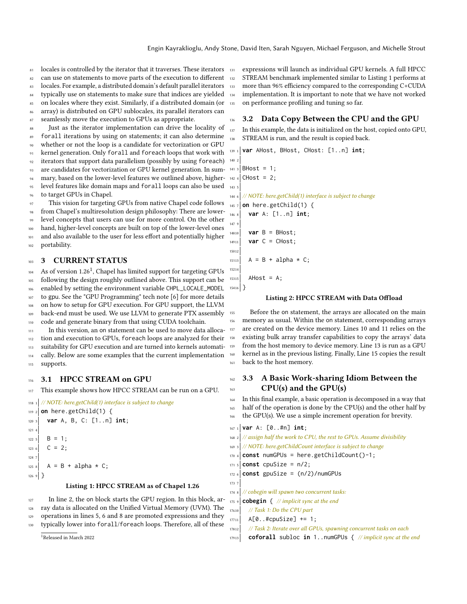- 81 locales is controlled by the iterator that it traverses. These iterators
- 82 can use on statements to move parts of the execution to different
- <sup>83</sup> locales. For example, a distributed domain's default parallel iterators
- 84 typically use on statements to make sure that indices are yielded
- <sup>85</sup> on locales where they exist. Similarly, if a distributed domain (or
- array) is distributed on GPU sublocales, its parallel iterators can

seamlessly move the execution to GPUs as appropriate. Just as the iterator implementation can drive the locality of forall iterations by using on statements; it can also determine whether or not the loop is a candidate for vectorization or GPU <sup>91</sup> kernel generation. Only forall and foreach loops that work with <sup>92</sup> iterators that support data parallelism (possibly by using foreach) <sup>93</sup> are candidates for vectorization or GPU kernel generation. In summary, based on the lower-level features we outlined above, higher-<sup>95</sup> level features like domain maps and forall loops can also be used to target GPUs in Chapel.

This vision for targeting GPUs from native Chapel code follows from Chapel's multiresolution design philosophy: There are lowerlevel concepts that users can use for more control. On the other hand, higher-level concepts are built on top of the lower-level ones and also available to the user for less effort and potentially higher portability.

### <span id="page-1-0"></span>3 CURRENT STATUS

[1](#page-1-1)04 As of version 1.26<sup>1</sup>, Chapel has limited support for targeting GPUs <sup>105</sup> following the design roughly outlined above. This support can be enabled by setting the environment variable CHPL\_LOCALE\_MODEL <sup>107</sup> to gpu. See the "GPU Programming" tech note [\[6\]](#page-2-4) for more details on how to setup for GPU execution. For GPU support, the LLVM back-end must be used. We use LLVM to generate PTX assembly 110 code and generate binary from that using CUDA toolchain. 111 In this version, an on statement can be used to move data alloca-112 tion and execution to GPUs, foreach loops are analyzed for their

113 suitability for GPU execution and are turned into kernels automati-<sup>114</sup> cally. Below are some examples that the current implementation <sup>115</sup> supports.

#### 116 3.1 HPCC STREAM on GPU

117 This example shows how HPCC STREAM can be run on a GPU.

```
118 1 // NOTE: here.getChild(1) interface is subject to change
_{119\text{ }2} on here.getChild(1) {
120 3 var A, B, C: [1..n] int;
121
122 \t5 B = 1;
123 \t6 C = 2;
124
125 \text{ s} A = B + alpha \star C;
1269Listing 1: HPCC STREAM as of Chapel 1.26
```
127 In line 2, the on block starts the GPU region. In this block, ar-128 ray data is allocated on the Unified Virtual Memory (UVM). The 129 operations in lines 5, 6 and 8 are promoted expressions and they

130 typically lower into for all/foreach loops. Therefore, all of these

<span id="page-1-1"></span><sup>1</sup>Released in March 2022

<sup>131</sup> expressions will launch as individual GPU kernels. A full HPCC 132 STREAM benchmark implemented similar to Listing [1](#page-1-2) performs at more than 96% efficiency compared to the corresponding C+CUDA 134 implementation. It is important to note that we have not worked <sup>135</sup> on performance profiling and tuning so far.

#### 136 3.2 Data Copy Between the CPU and the GPU

In this example, the data is initialized on the host, copied onto GPU, 138 STREAM is run, and the result is copied back.

<sup>139</sup> <sup>1</sup> **var** AHost, BHost, CHost: [1..n] **int**;

143

```
140 2
1413 BHost = 1;
_{142} 4 CHost = 2;
144 6 // NOTE: here.getChild(1) interface is subject to change
145 7 on here.getChild(1) {
146 8 var A: [1..n] int;
147
14810 var B = BHost;
|14911| var C = CHost;
15012
15113 A = B + alpha \star C;
15214
15315 AHost = A;
15416 }
```
#### Listing 2: HPCC STREAM with Data Offload

155 Before the on statement, the arrays are allocated on the main <sup>156</sup> memory as usual. Within the on statement, corresponding arrays 157 are created on the device memory. Lines 10 and 11 relies on the <sup>158</sup> existing bulk array transfer capabilities to copy the arrays' data <sup>159</sup> from the host memory to device memory. Line 13 is run as a GPU <sup>160</sup> kernel as in the previous listing. Finally, Line 15 copies the result 161 back to the host memory.

#### 162 3.3 A Basic Work-sharing Idiom Between the  $_{163}$  CPU(s) and the GPU(s)

```
164 In this final example, a basic operation is decomposed in a way that
165 half of the operation is done by the CPU(s) and the other half by
166 the GPU(s). We use a simple increment operation for brevity.
```

```
167 1 var A: [0..#n] int;
168 2 \frac{1}{4} // assign half the work to CPU, the rest to GPUs. Assume divisibility
169 3 // NOTE: here.getChildCount interface is subject to change
170 \frac{4}{170} const numGPUs = here.getChildCount()-1;
171.5 const cpuSize = n/2;
172 \div 6 const gpuSize = (n/2)/numGPUs
173
174 \text{ s} // cobegin will spawn two concurrent tasks:
175 9 cobegin \left\{\frac{1}{\pi}\right\} implicit sync at the end
17610 // Task 1: Do the CPU part
17711 A[0..#cpuSize] += 1;
17812 // Task 2: Iterate over all GPUs, spawning concurrent tasks on each
17913 coforall subloc in 1..numGPUs { // implicit sync at the end
```